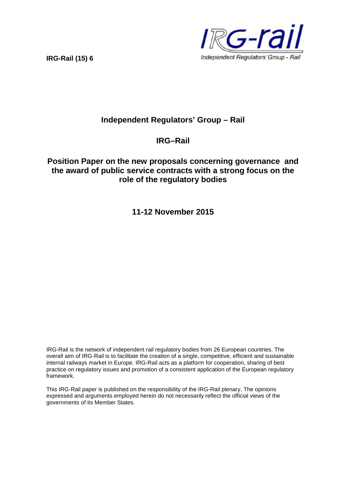**IRG-Rail (15) 6**



# **Independent Regulators' Group – Rail**

## **IRG–Rail**

## **Position Paper on the new proposals concerning governance and the award of public service contracts with a strong focus on the role of the regulatory bodies**

**11-12 November 2015**

IRG-Rail is the network of independent rail regulatory bodies from 26 European countries. The overall aim of IRG-Rail is to facilitate the creation of a single, competitive, efficient and sustainable internal railways market in Europe. IRG-Rail acts as a platform for cooperation, sharing of best practice on regulatory issues and promotion of a consistent application of the European regulatory framework.

This IRG-Rail paper is published on the responsibility of the IRG-Rail plenary. The opinions expressed and arguments employed herein do not necessarily reflect the official views of the governments of its Member States.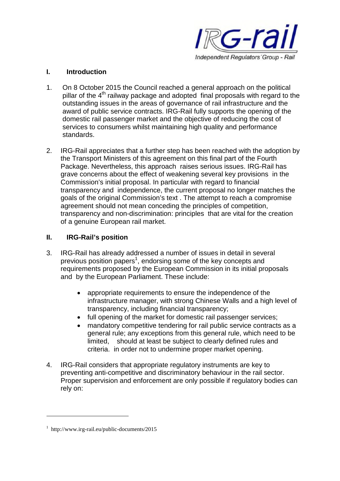

### **I. Introduction**

- 1. On 8 October 2015 the Council reached a general approach on the political pillar of the  $4<sup>th</sup>$  railway package and adopted final proposals with regard to the outstanding issues in the areas of governance of rail infrastructure and the award of public service contracts. IRG-Rail fully supports the opening of the domestic rail passenger market and the objective of reducing the cost of services to consumers whilst maintaining high quality and performance standards.
- 2. IRG-Rail appreciates that a further step has been reached with the adoption by the Transport Ministers of this agreement on this final part of the Fourth Package. Nevertheless, this approach raises serious issues. IRG-Rail has grave concerns about the effect of weakening several key provisions in the Commission's initial proposal. In particular with regard to financial transparency and independence, the current proposal no longer matches the goals of the original Commission's text . The attempt to reach a compromise agreement should not mean conceding the principles of competition, transparency and non-discrimination: principles that are vital for the creation of a genuine European rail market.

### **II. IRG-Rail's position**

- 3. IRG-Rail has already addressed a number of issues in detail in several previous position papers<sup>1</sup>, endorsing some of the key concepts and requirements proposed by the European Commission in its initial proposals and by the European Parliament. These include:
	- appropriate requirements to ensure the independence of the infrastructure manager, with strong Chinese Walls and a high level of transparency, including financial transparency;
	- full opening of the market for domestic rail passenger services;
	- mandatory competitive tendering for rail public service contracts as a general rule; any exceptions from this general rule, which need to be limited, should at least be subject to clearly defined rules and criteria. in order not to undermine proper market opening.
- 4. IRG-Rail considers that appropriate regulatory instruments are key to preventing anti-competitive and discriminatory behaviour in the rail sector. Proper supervision and enforcement are only possible if regulatory bodies can rely on:

<sup>1</sup> http://www.irg-rail.eu/public-documents/2015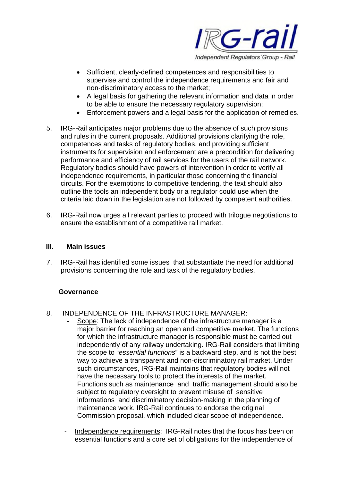

- Sufficient, clearly-defined competences and responsibilities to supervise and control the independence requirements and fair and non-discriminatory access to the market;
- A legal basis for gathering the relevant information and data in order to be able to ensure the necessary regulatory supervision;
- Enforcement powers and a legal basis for the application of remedies.
- 5. IRG-Rail anticipates major problems due to the absence of such provisions and rules in the current proposals. Additional provisions clarifying the role, competences and tasks of regulatory bodies, and providing sufficient instruments for supervision and enforcement are a precondition for delivering performance and efficiency of rail services for the users of the rail network. Regulatory bodies should have powers of intervention in order to verify all independence requirements, in particular those concerning the financial circuits. For the exemptions to competitive tendering, the text should also outline the tools an independent body or a regulator could use when the criteria laid down in the legislation are not followed by competent authorities.
- 6. IRG-Rail now urges all relevant parties to proceed with trilogue negotiations to ensure the establishment of a competitive rail market.

#### **III. Main issues**

7. IRG-Rail has identified some issues that substantiate the need for additional provisions concerning the role and task of the regulatory bodies.

#### **Governance**

- 8. INDEPENDENCE OF THE INFRASTRUCTURE MANAGER:
	- Scope: The lack of independence of the infrastructure manager is a major barrier for reaching an open and competitive market. The functions for which the infrastructure manager is responsible must be carried out independently of any railway undertaking. IRG-Rail considers that limiting the scope to "*essential functions*" is a backward step, and is not the best way to achieve a transparent and non-discriminatory rail market. Under such circumstances, IRG-Rail maintains that regulatory bodies will not have the necessary tools to protect the interests of the market. Functions such as maintenance and traffic management should also be subject to regulatory oversight to prevent misuse of sensitive informations and discriminatory decision-making in the planning of maintenance work. IRG-Rail continues to endorse the original Commission proposal, which included clear scope of independence.
	- Independence requirements: IRG-Rail notes that the focus has been on essential functions and a core set of obligations for the independence of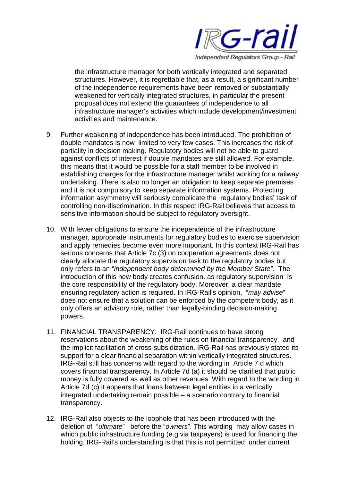

the infrastructure manager for both vertically integrated and separated structures. However, it is regrettable that, as a result, a significant number of the independence requirements have been removed or substantially weakened for vertically integrated structures, in particular the present proposal does not extend the guarantees of independence to all infrastructure manager's activities which include development/investment activities and maintenance.

- 9. Further weakening of independence has been introduced. The prohibition of double mandates is now limited to very few cases. This increases the risk of partiality in decision making. Regulatory bodies will not be able to guard against conflicts of interest if double mandates are still allowed. For example, this means that it would be possible for a staff member to be involved in establishing charges for the infrastructure manager whilst working for a railway undertaking. There is also no longer an obligation to keep separate premises and it is not compulsory to keep separate information systems. Protecting information asymmetry will seriously complicate the regulatory bodies' task of controlling non-discrimination. In this respect IRG-Rail believes that access to sensitive information should be subject to regulatory oversight.
- 10. With fewer obligations to ensure the independence of the infrastructure manager, appropriate instruments for regulatory bodies to exercise supervision and apply remedies become even more important. In this context IRG-Rail has serious concerns that Article 7c (3) on cooperation agreements does not clearly allocate the regulatory supervision task to the regulatory bodies but only refers to an "*independent body determined by the Member State".* The introduction of this new body creates confusion. as regulatory supervision is the core responsibility of the regulatory body. Moreover, a clear mandate ensuring regulatory action is required. In IRG-Rail's opinion, "*may advise*" does not ensure that a solution can be enforced by the competent body, as it only offers an advisory role, rather than legally-binding decision-making powers.
- 11. FINANCIAL TRANSPARENCY: IRG-Rail continues to have strong reservations about the weakening of the rules on financial transparency, and the implicit facilitation of cross-subsidization. IRG-Rail has previously stated its support for a clear financial separation within vertically integrated structures. IRG-Rail still has concerns with regard to the wording in Article 7 d which covers financial transparency. In Article 7d (a) it should be clarified that public money is fully covered as well as other revenues. With regard to the wording in Article 7d (c) it appears that loans between legal entities in a vertically integrated undertaking remain possible – a scenario contrary to financial transparency.
- 12. IRG-Rail also objects to the loophole that has been introduced with the deletion of "*ultimate*" before the "*owners*". This wording may allow cases in which public infrastructure funding (e.g. via taxpayers) is used for financing the holding. IRG-Rail's understanding is that this is not permitted under current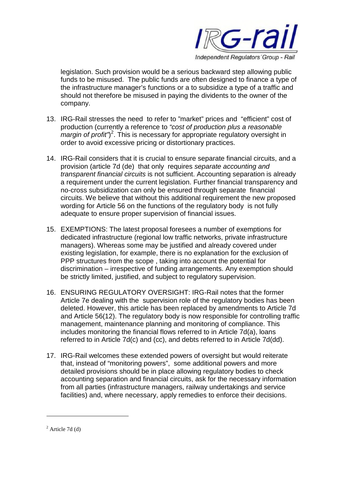

legislation. Such provision would be a serious backward step allowing public funds to be misused. The public funds are often designed to finance a type of the infrastructure manager's functions or a to subsidize a type of a traffic and should not therefore be misused in paying the dividents to the owner of the company.

- 13. IRG-Rail stresses the need to refer to "market" prices and "efficient" cost of production (currently a reference to *"cost of production plus a reasonable margin of profit*")<sup>2</sup>. This is necessary for appropriate regulatory oversight in order to avoid excessive pricing or distortionary practices.
- 14. IRG-Rail considers that it is crucial to ensure separate financial circuits, and a provision (article 7d (de) that only requires *separate accounting and transparent financial circuits* is not sufficient. Accounting separation is already a requirement under the current legislation. Further financial transparency and no-cross subsidization can only be ensured through separate financial circuits. We believe that without this additional requirement the new proposed wording for Article 56 on the functions of the regulatory body is not fully adequate to ensure proper supervision of financial issues.
- 15. EXEMPTIONS: The latest proposal foresees a number of exemptions for dedicated infrastructure (regional low traffic networks, private infrastructure managers). Whereas some may be justified and already covered under existing legislation, for example, there is no explanation for the exclusion of PPP structures from the scope, taking into account the potential for discrimination – irrespective of funding arrangements. Any exemption should be strictly limited, justified, and subject to regulatory supervision.
- 16. ENSURING REGULATORY OVERSIGHT: IRG-Rail notes that the former Article 7e dealing with the supervision role of the regulatory bodies has been deleted. However, this article has been replaced by amendments to Article 7d and Article 56(12). The regulatory body is now responsible for controlling traffic management, maintenance planning and monitoring of compliance. This includes monitoring the financial flows referred to in Article 7d(a), loans referred to in Article 7d(c) and (cc), and debts referred to in Article 7d(dd).
- 17. IRG-Rail welcomes these extended powers of oversight but would reiterate that, instead of "monitoring powers", some additional powers and more detailed provisions should be in place allowing regulatory bodies to check accounting separation and financial circuits, ask for the necessary information from all parties (infrastructure managers, railway undertakings and service facilities) and, where necessary, apply remedies to enforce their decisions.

 $2$  Article 7d (d)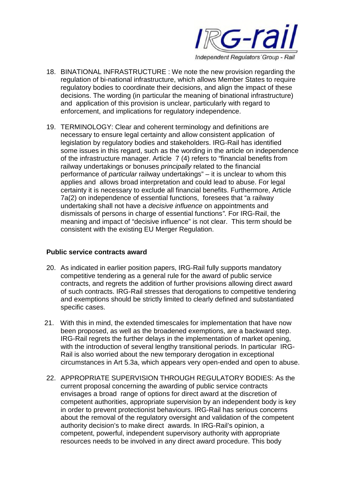

- 18. BINATIONAL INFRASTRUCTURE : We note the new provision regarding the regulation of bi-national infrastructure, which allows Member States to require regulatory bodies to coordinate their decisions, and align the impact of these decisions. The wording (in particular the meaning of binational infrastructure) and application of this provision is unclear, particularly with regard to enforcement, and implications for regulatory independence.
- 19. TERMINOLOGY: Clear and coherent terminology and definitions are necessary to ensure legal certainty and allow consistent application of legislation by regulatory bodies and stakeholders. IRG-Rail has identified some issues in this regard, such as the wording in the article on independence of the infrastructure manager. Article 7 (4) refers to "financial benefits from railway undertakings or bonuses *principally* related to the financial performance of *particular* railway undertakings" – it is unclear to whom this applies and allows broad interpretation and could lead to abuse. For legal certainty it is necessary to exclude all financial benefits. Furthermore, Article 7a(2) on independence of essential functions, foresees that "a railway undertaking shall not have a *decisive influence* on appointments and dismissals of persons in charge of essential functions*"*. For IRG-Rail, the meaning and impact of "decisive influence" is not clear. This term should be consistent with the existing EU Merger Regulation.

#### **Public service contracts award**

- 20. As indicated in earlier position papers, IRG-Rail fully supports mandatory competitive tendering as a general rule for the award of public service contracts, and regrets the addition of further provisions allowing direct award of such contracts. IRG-Rail stresses that derogations to competitive tendering and exemptions should be strictly limited to clearly defined and substantiated specific cases.
- 21. With this in mind, the extended timescales for implementation that have now been proposed, as well as the broadened exemptions, are a backward step. IRG-Rail regrets the further delays in the implementation of market opening, with the introduction of several lengthy transitional periods. In particular IRG-Rail is also worried about the new temporary derogation in exceptional circumstances in Art 5.3a, which appears very open-ended and open to abuse.
- 22. APPROPRIATE SUPERVISION THROUGH REGULATORY BODIES: As the current proposal concerning the awarding of public service contracts envisages a broad range of options for direct award at the discretion of competent authorities, appropriate supervision by an independent body is key in order to prevent protectionist behaviours. IRG-Rail has serious concerns about the removal of the regulatory oversight and validation of the competent authority decision's to make direct awards. In IRG-Rail's opinion, a competent, powerful, independent supervisory authority with appropriate resources needs to be involved in any direct award procedure. This body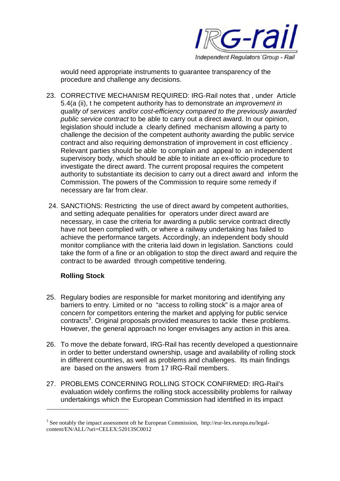

would need appropriate instruments to guarantee transparency of the procedure and challenge any decisions.

- 23. CORRECTIVE MECHANISM REQUIRED: IRG-Rail notes that , under Article 5.4(a (ii), t he competent authority has to demonstrate an *improvement in quality of services and/or cost-efficiency compared to the previously awarded public service contract* to be able to carry out a direct award. In our opinion, legislation should include a clearly defined mechanism allowing a party to challenge the decision of the competent authority awarding the public service contract and also requiring demonstration of improvement in cost efficiency . Relevant parties should be able to complain and appeal to an independent supervisory body, which should be able to initiate an ex-officio procedure to investigate the direct award. The current proposal requires the competent authority to substantiate its decision to carry out a direct award and inform the Commission. The powers of the Commission to require some remedy if necessary are far from clear.
- 24. SANCTIONS: Restricting the use of direct award by competent authorities, and setting adequate penalities for operators under direct award are necessary, in case the criteria for awarding a public service contract directly have not been complied with, or where a railway undertaking has failed to achieve the performance targets. Accordingly, an independent body should monitor compliance with the criteria laid down in legislation. Sanctions could take the form of a fine or an obligation to stop the direct award and require the contract to be awarded through competitive tendering.

## **Rolling Stock**

- 25. Regulary bodies are responsible for market monitoring and identifying any barriers to entry. Limited or no "access to rolling stock" is a major area of concern for competitors entering the market and applying for public service contracts<sup>3</sup>. Original proposals provided measures to tackle these problems. However, the general approach no longer envisages any action in this area.
- 26. To move the debate forward, IRG-Rail has recently developed a questionnaire in order to better understand ownership, usage and availability of rolling stock in different countries, as well as problems and challenges. Its main findings are based on the answers from 17 IRG-Rail members.
- 27. PROBLEMS CONCERNING ROLLING STOCK CONFIRMED: IRG-Rail's evaluation widely confirms the rolling stock accessibility problems for railway undertakings which the European Commission had identified in its impact

 $3$  See notably the impact assessment oft he European Commission, http://eur-lex.europa.eu/legalcontent/EN/ALL/?uri=CELEX:52013SC0012